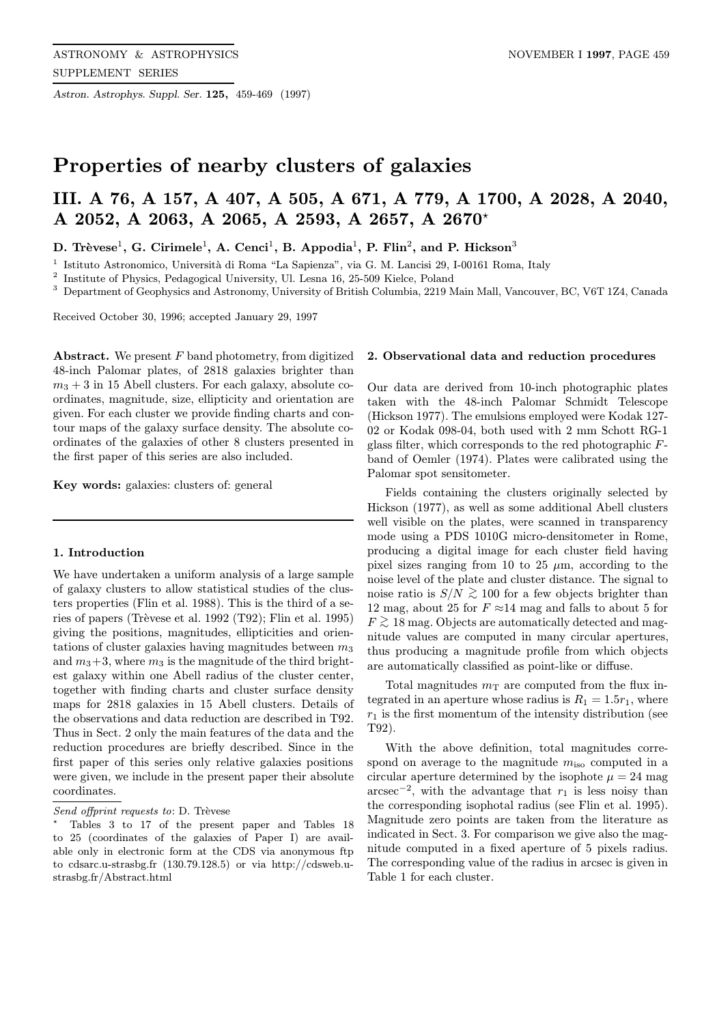Astron. Astrophys. Suppl. Ser. 125, 459-469 (1997)

# Properties of nearby clusters of galaxies

# III. A 76, A 157, A 407, A 505, A 671, A 779, A 1700, A 2028, A 2040, A 2052, A 2063, A 2065, A 2593, A 2657, A 2670?

D. Trèvese<sup>1</sup>, G. Cirimele<sup>1</sup>, A. Cenci<sup>1</sup>, B. Appodia<sup>1</sup>, P. Flin<sup>2</sup>, and P. Hickson<sup>3</sup>

 $^{\rm 1}$ Istituto Astronomico, Università di Roma "La Sapienza", via G. M. Lancisi 29, I-00161 Roma, Italy

 $^{\rm 2}$  Institute of Physics, Pedagogical University, Ul. Lesna 16, 25-509 Kielce, Poland

<sup>3</sup> Department of Geophysics and Astronomy, University of British Columbia, 2219 Main Mall, Vancouver, BC, V6T 1Z4, Canada

Received October 30, 1996; accepted January 29, 1997

Abstract. We present  $F$  band photometry, from digitized 48-inch Palomar plates, of 2818 galaxies brighter than  $m_3 + 3$  in 15 Abell clusters. For each galaxy, absolute coordinates, magnitude, size, ellipticity and orientation are given. For each cluster we provide finding charts and contour maps of the galaxy surface density. The absolute coordinates of the galaxies of other 8 clusters presented in the first paper of this series are also included.

Key words: galaxies: clusters of: general

#### 1. Introduction

We have undertaken a uniform analysis of a large sample of galaxy clusters to allow statistical studies of the clusters properties (Flin et al. 1988). This is the third of a series of papers (Trèvese et al. 1992 (T92); Flin et al. 1995) giving the positions, magnitudes, ellipticities and orientations of cluster galaxies having magnitudes between  $m_3$ and  $m_3+3$ , where  $m_3$  is the magnitude of the third brightest galaxy within one Abell radius of the cluster center, together with finding charts and cluster surface density maps for 2818 galaxies in 15 Abell clusters. Details of the observations and data reduction are described in T92. Thus in Sect. 2 only the main features of the data and the reduction procedures are briefly described. Since in the first paper of this series only relative galaxies positions were given, we include in the present paper their absolute coordinates.

#### 2. Observational data and reduction procedures

Our data are derived from 10-inch photographic plates taken with the 48-inch Palomar Schmidt Telescope (Hickson 1977). The emulsions employed were Kodak 127- 02 or Kodak 098-04, both used with 2 mm Schott RG-1 glass filter, which corresponds to the red photographic Fband of Oemler (1974). Plates were calibrated using the Palomar spot sensitometer.

Fields containing the clusters originally selected by Hickson (1977), as well as some additional Abell clusters well visible on the plates, were scanned in transparency mode using a PDS 1010G micro-densitometer in Rome, producing a digital image for each cluster field having pixel sizes ranging from 10 to 25  $\mu$ m, according to the noise level of the plate and cluster distance. The signal to noise ratio is  $S/N \gtrsim 100$  for a few objects brighter than 12 mag, about 25 for  $F \approx 14$  mag and falls to about 5 for  $F \gtrsim 18$  mag. Objects are automatically detected and magnitude values are computed in many circular apertures, thus producing a magnitude profile from which objects are automatically classified as point-like or diffuse.

Total magnitudes  $m<sub>T</sub>$  are computed from the flux integrated in an aperture whose radius is  $R_1 = 1.5r_1$ , where  $r_1$  is the first momentum of the intensity distribution (see T92).

With the above definition, total magnitudes correspond on average to the magnitude  $m_{\text{iso}}$  computed in a circular aperture determined by the isophote  $\mu = 24$  mag arcsec<sup>-2</sup>, with the advantage that  $r_1$  is less noisy than the corresponding isophotal radius (see Flin et al. 1995). Magnitude zero points are taken from the literature as indicated in Sect. 3. For comparison we give also the magnitude computed in a fixed aperture of 5 pixels radius. The corresponding value of the radius in arcsec is given in Table 1 for each cluster.

Send offprint requests to:  $D$ . Trèvese

<sup>?</sup> Tables 3 to 17 of the present paper and Tables 18 to 25 (coordinates of the galaxies of Paper I) are available only in electronic form at the CDS via anonymous ftp to cdsarc.u-strasbg.fr (130.79.128.5) or via http://cdsweb.ustrasbg.fr/Abstract.html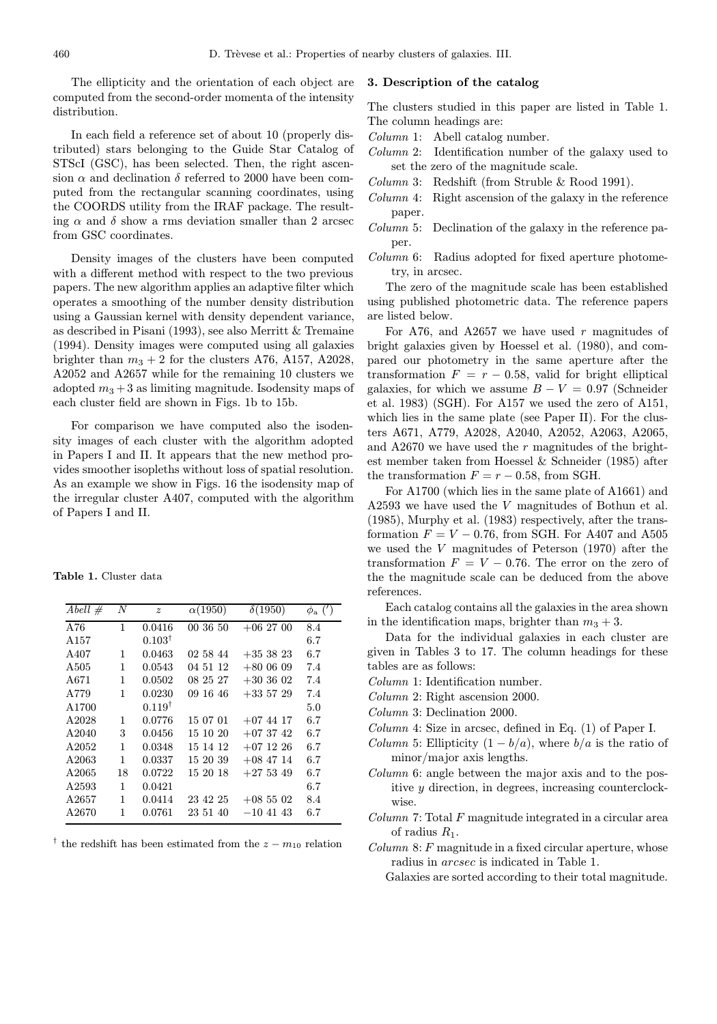The ellipticity and the orientation of each object are computed from the second-order momenta of the intensity distribution.

In each field a reference set of about 10 (properly distributed) stars belonging to the Guide Star Catalog of STScI (GSC), has been selected. Then, the right ascension  $\alpha$  and declination  $\delta$  referred to 2000 have been computed from the rectangular scanning coordinates, using the COORDS utility from the IRAF package. The resulting  $\alpha$  and  $\delta$  show a rms deviation smaller than 2 arcsec from GSC coordinates.

Density images of the clusters have been computed with a different method with respect to the two previous papers. The new algorithm applies an adaptive filter which operates a smoothing of the number density distribution using a Gaussian kernel with density dependent variance, as described in Pisani (1993), see also Merritt & Tremaine (1994). Density images were computed using all galaxies brighter than  $m_3 + 2$  for the clusters A76, A157, A2028, A2052 and A2657 while for the remaining 10 clusters we adopted  $m_3 + 3$  as limiting magnitude. Isodensity maps of each cluster field are shown in Figs. 1b to 15b.

For comparison we have computed also the isodensity images of each cluster with the algorithm adopted in Papers I and II. It appears that the new method provides smoother isopleths without loss of spatial resolution. As an example we show in Figs. 16 the isodensity map of the irregular cluster A407, computed with the algorithm of Papers I and II.

Table 1. Cluster data

| Abell $#$        | N  | $\boldsymbol{z}$  | $\alpha(1950)$ | $\delta(1950)$ | $\phi_{\rm a}$ (') |
|------------------|----|-------------------|----------------|----------------|--------------------|
| A76              | 1  | 0.0416            | 00 36 50       | $+06\;27\;00$  | 8.4                |
| A <sub>157</sub> |    | $0.103^{\dagger}$ |                |                | 6.7                |
| A407             | 1  | 0.0463            | 02 58 44       | $+353823$      | 6.7                |
| A505             | 1  | 0.0543            | 04 51 12       | $+800609$      | 7.4                |
| A671             | 1  | 0.0502            | 08 25 27       | $+303602$      | 7.4                |
| A779             | 1  | 0.0230            | 09 16 46       | $+335729$      | 7.4                |
| A1700            |    | $0.119^{\dagger}$ |                |                | 5.0                |
| A2028            | 1  | 0.0776            | 15 07 01       | $+07$ 44 17    | 6.7                |
| A2040            | 3  | 0.0456            | 15 10 20       | $+073742$      | 6.7                |
| A2052            | 1  | 0.0348            | 15 14 12       | $+07$ 12 26    | 6.7                |
| A2063            | 1  | 0.0337            | 15 20 39       | $+08$ 47 14    | 6.7                |
| A2065            | 18 | 0.0722            | 15 20 18       | $+275349$      | 6.7                |
| A2593            | 1  | 0.0421            |                |                | 6.7                |
| A2657            | 1  | 0.0414            | 23 42 25       | $+08\;55\;02$  | 8.4                |
| A2670            | 1  | 0.0761            | 23 51 40       | $-10$ 41 43    | 6.7                |
|                  |    |                   |                |                |                    |

<sup>†</sup> the redshift has been estimated from the  $z - m_{10}$  relation

## 3. Description of the catalog

The clusters studied in this paper are listed in Table 1. The column headings are:

Column 1: Abell catalog number.

- Column 2: Identification number of the galaxy used to set the zero of the magnitude scale.
- Column 3: Redshift (from Struble & Rood 1991).
- Column 4: Right ascension of the galaxy in the reference paper.
- Column 5: Declination of the galaxy in the reference paper.
- Column 6: Radius adopted for fixed aperture photometry, in arcsec.

The zero of the magnitude scale has been established using published photometric data. The reference papers are listed below.

For A76, and A2657 we have used  $r$  magnitudes of bright galaxies given by Hoessel et al. (1980), and compared our photometry in the same aperture after the transformation  $F = r - 0.58$ , valid for bright elliptical galaxies, for which we assume  $B - V = 0.97$  (Schneider et al. 1983) (SGH). For A157 we used the zero of A151, which lies in the same plate (see Paper II). For the clusters A671, A779, A2028, A2040, A2052, A2063, A2065, and A2670 we have used the  $r$  magnitudes of the brightest member taken from Hoessel & Schneider (1985) after the transformation  $F = r - 0.58$ , from SGH.

For A1700 (which lies in the same plate of A1661) and A2593 we have used the V magnitudes of Bothun et al. (1985), Murphy et al. (1983) respectively, after the transformation  $F = V - 0.76$ , from SGH. For A407 and A505 we used the V magnitudes of Peterson (1970) after the transformation  $F = V - 0.76$ . The error on the zero of the the magnitude scale can be deduced from the above references.

Each catalog contains all the galaxies in the area shown in the identification maps, brighter than  $m_3 + 3$ .

Data for the individual galaxies in each cluster are given in Tables 3 to 17. The column headings for these tables are as follows:

- Column 1: Identification number.
- Column 2: Right ascension 2000.
- Column 3: Declination 2000.
- Column 4: Size in arcsec, defined in Eq. (1) of Paper I.
- *Column* 5: Ellipticity  $(1 b/a)$ , where  $b/a$  is the ratio of minor/major axis lengths.
- Column 6: angle between the major axis and to the positive y direction, in degrees, increasing counterclockwise.
- $Column 7: Total F magnitude integrated in a circular area$ of radius  $R_1$ .

 $Column 8: F magnitude in a fixed circular aperture, whose$ radius in arcsec is indicated in Table 1.

Galaxies are sorted according to their total magnitude.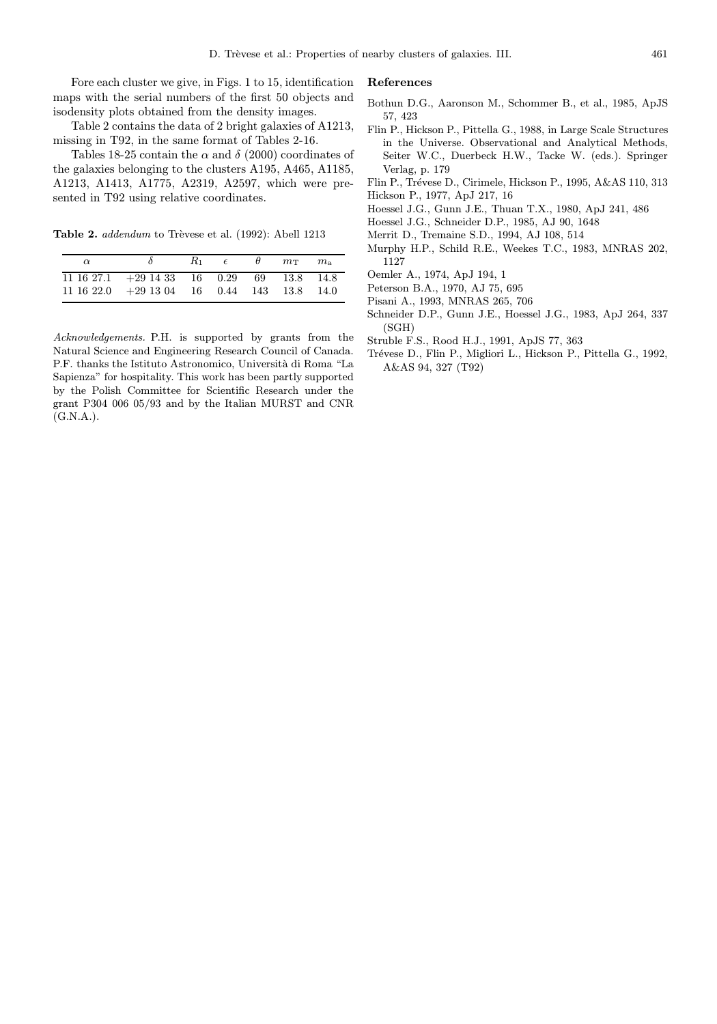Fore each cluster we give, in Figs. 1 to 15, identification maps with the serial numbers of the first 50 objects and isodensity plots obtained from the density images.

Table 2 contains the data of 2 bright galaxies of A1213, missing in T92, in the same format of Tables 2-16.

Tables 18-25 contain the  $\alpha$  and  $\delta$  (2000) coordinates of the galaxies belonging to the clusters A195, A465, A1185, A1213, A1413, A1775, A2319, A2597, which were presented in T92 using relative coordinates.

Table 2. addendum to Trèvese et al. (1992): Abell 1213

| $\alpha$ |                                                             | $R_1$ $\epsilon$ | $\theta$ $m_{\rm T}$ | $m_{\rm h}$ |
|----------|-------------------------------------------------------------|------------------|----------------------|-------------|
|          | $11\ 16\ 27.1$ $+29\ 14\ 33$ $16$ $0.29$ $69$ $13.8$ $14.8$ |                  |                      |             |
|          | $11\ 16\ 22.0$ $+29\ 13\ 04$ 16 0.44 143 13.8 14.0          |                  |                      |             |

Acknowledgements. P.H. is supported by grants from the Natural Science and Engineering Research Council of Canada. P.F. thanks the Istituto Astronomico, Università di Roma "La Sapienza" for hospitality. This work has been partly supported by the Polish Committee for Scientific Research under the grant P304 006 05/93 and by the Italian MURST and CNR  $(G.N.A.)$ .

## References

- Bothun D.G., Aaronson M., Schommer B., et al., 1985, ApJS 57, 423
- Flin P., Hickson P., Pittella G., 1988, in Large Scale Structures in the Universe. Observational and Analytical Methods, Seiter W.C., Duerbeck H.W., Tacke W. (eds.). Springer Verlag, p. 179
- Flin P., Trévese D., Cirimele, Hickson P., 1995, A&AS 110, 313 Hickson P., 1977, ApJ 217, 16
- Hoessel J.G., Gunn J.E., Thuan T.X., 1980, ApJ 241, 486
- Hoessel J.G., Schneider D.P., 1985, AJ 90, 1648
- Merrit D., Tremaine S.D., 1994, AJ 108, 514
- Murphy H.P., Schild R.E., Weekes T.C., 1983, MNRAS 202, 1127
- Oemler A., 1974, ApJ 194, 1
- Peterson B.A., 1970, AJ 75, 695
- Pisani A., 1993, MNRAS 265, 706
- Schneider D.P., Gunn J.E., Hoessel J.G., 1983, ApJ 264, 337 (SGH)
- Struble F.S., Rood H.J., 1991, ApJS 77, 363
- Trévese D., Flin P., Migliori L., Hickson P., Pittella G., 1992, A&AS 94, 327 (T92)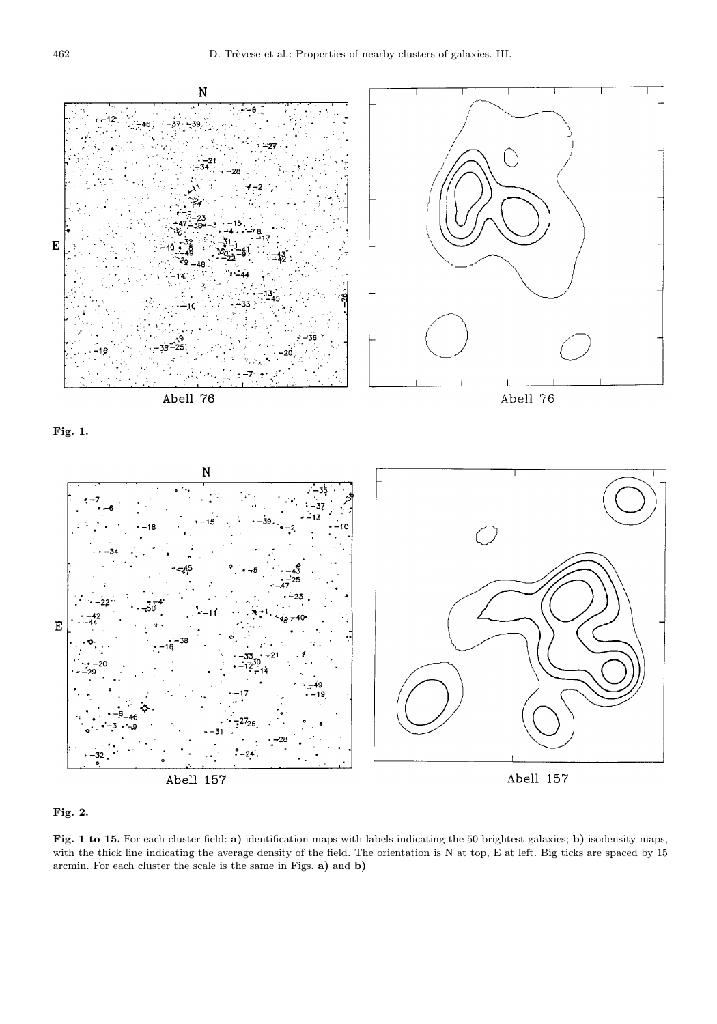



Fig. 1 to 15. For each cluster field: a) identification maps with labels indicating the 50 brightest galaxies; b) isodensity maps, with the thick line indicating the average density of the field. The orientation is N at top, E at left. Big ticks are spaced by 15 arcmin. For each cluster the scale is the same in Figs. a) and b)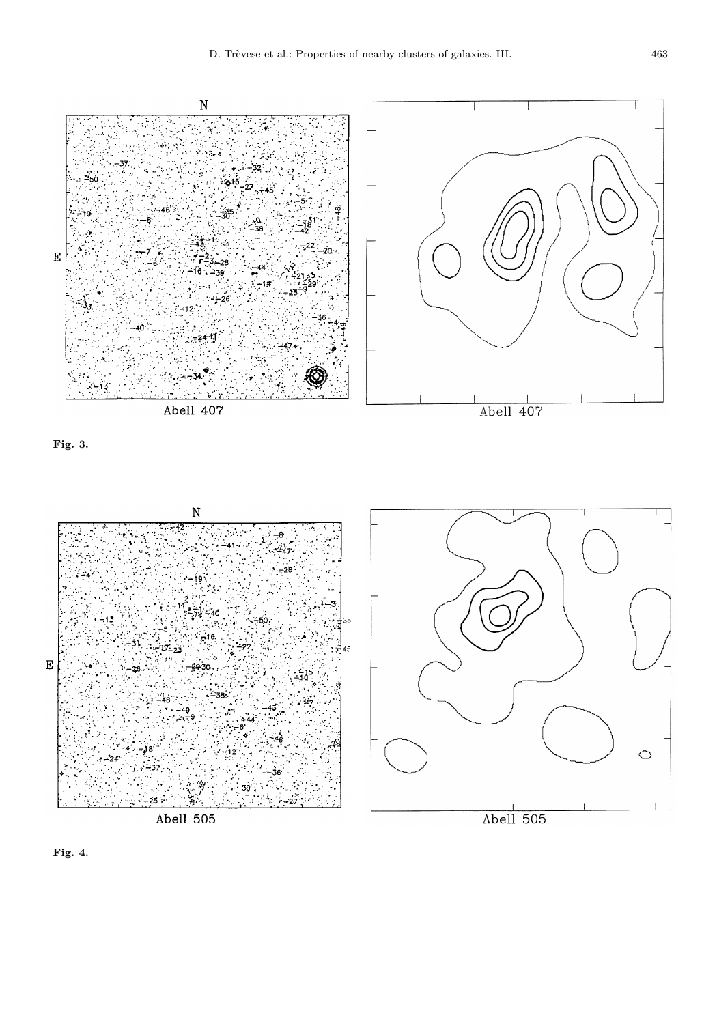





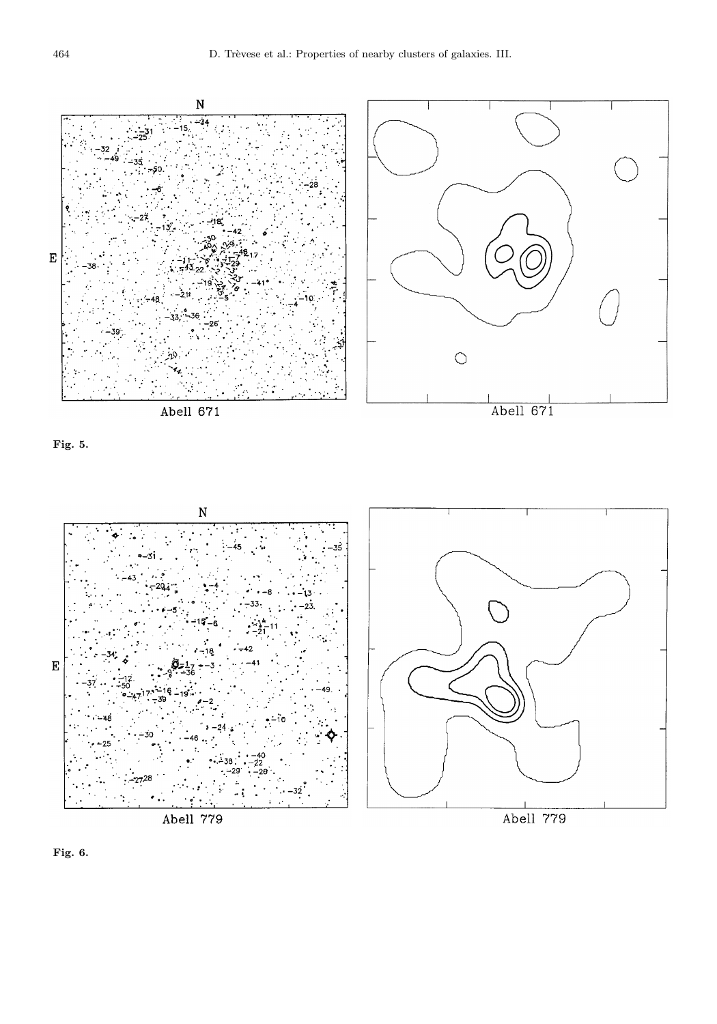





Abell 779

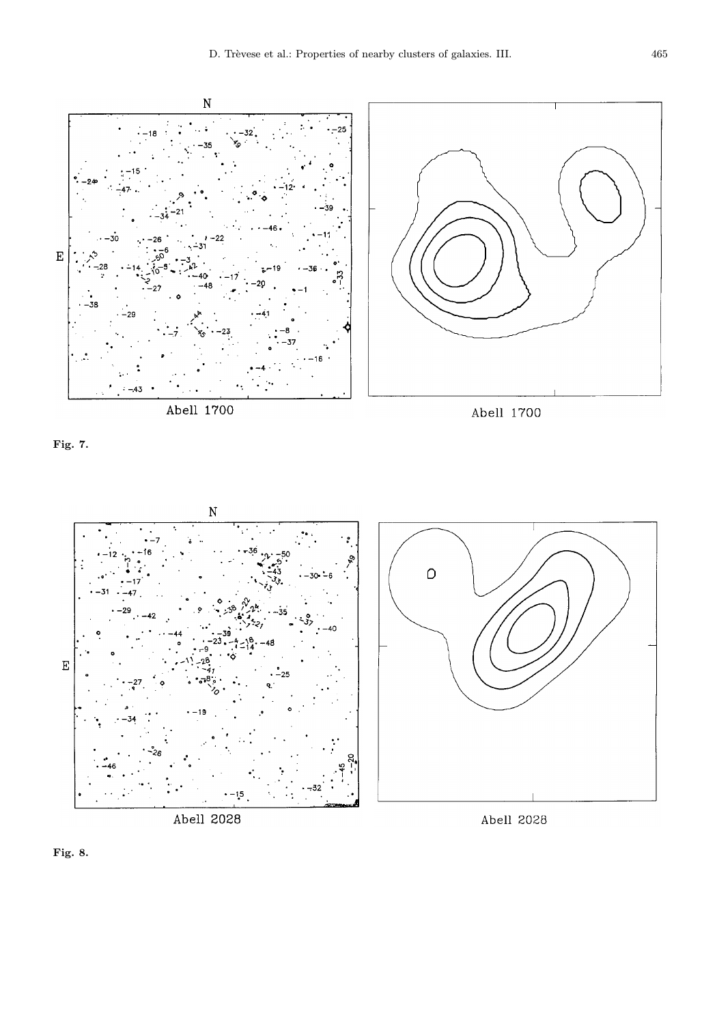





Abell 2028

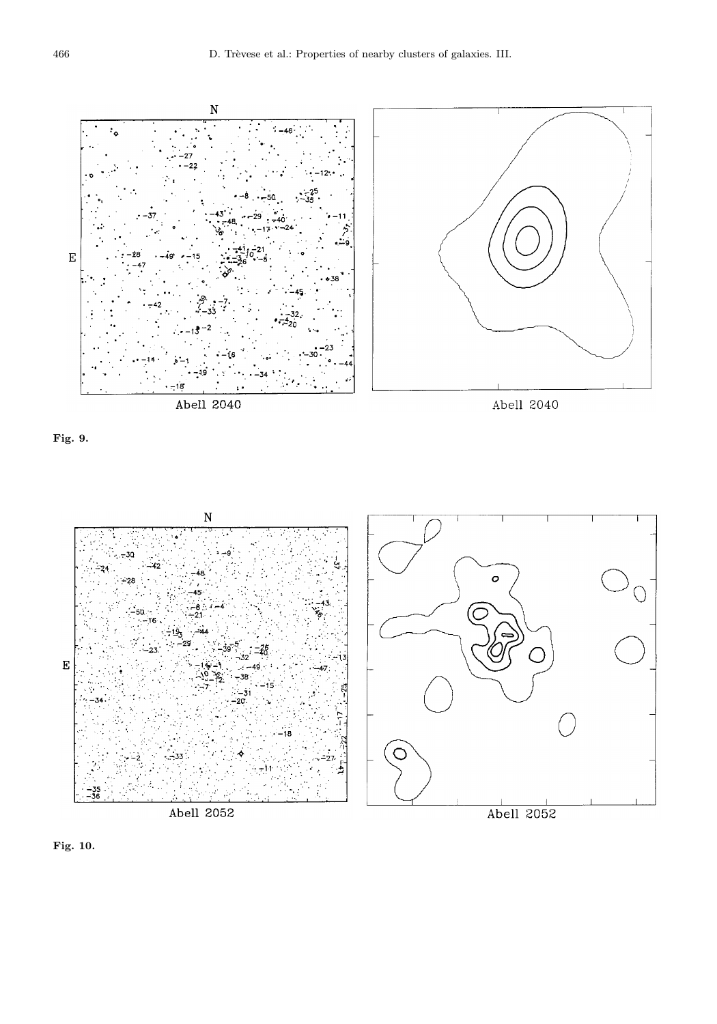





Abell 2052



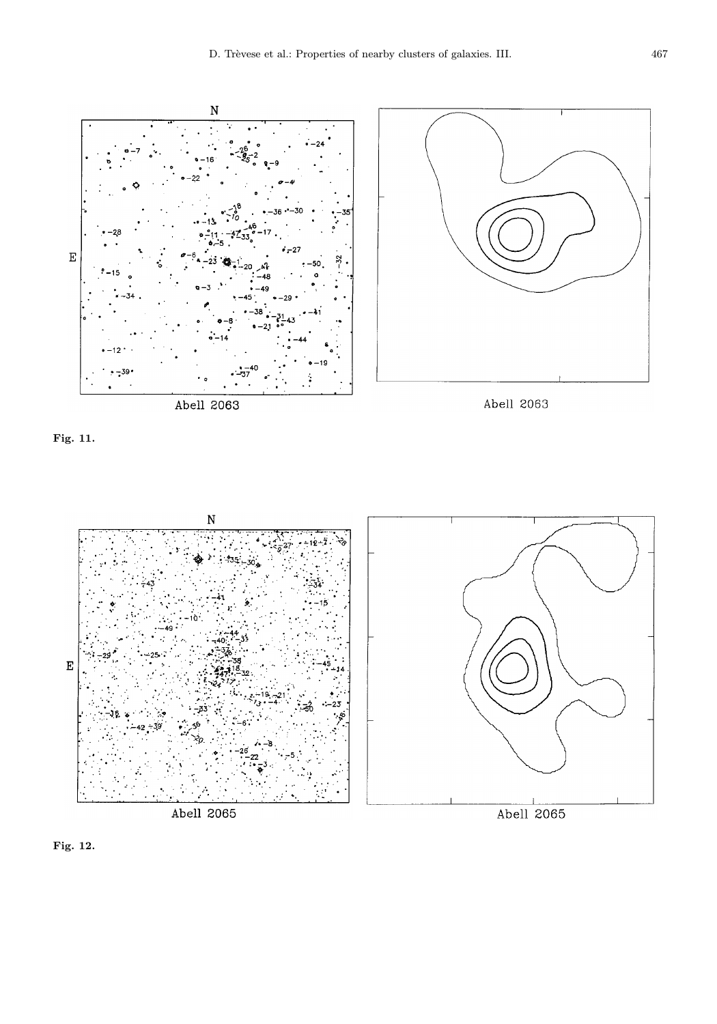







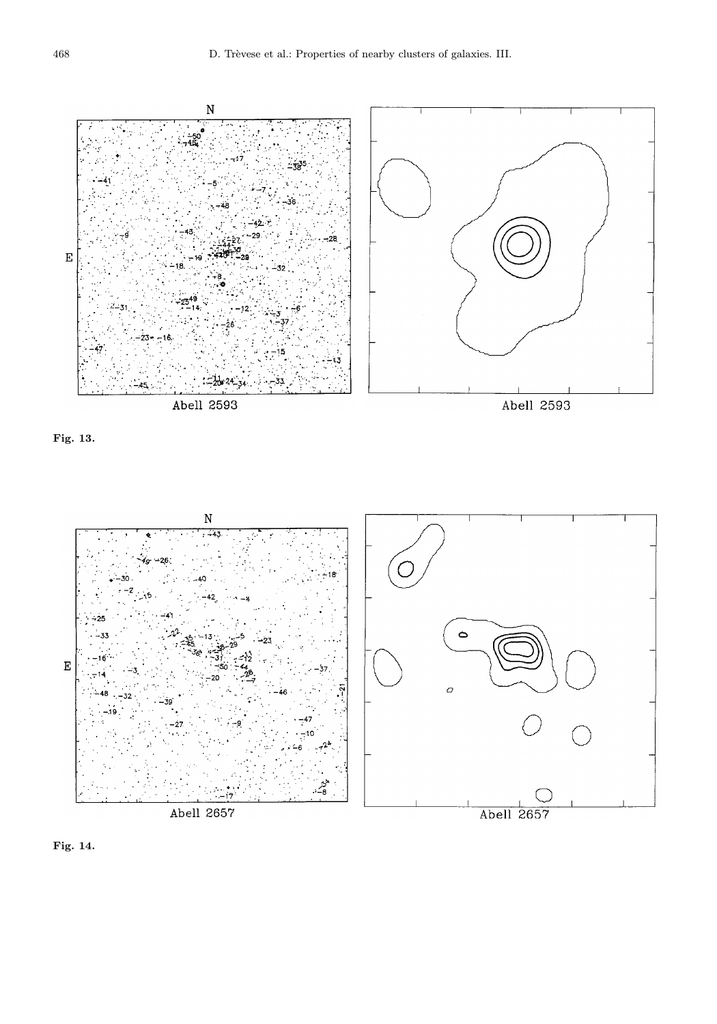